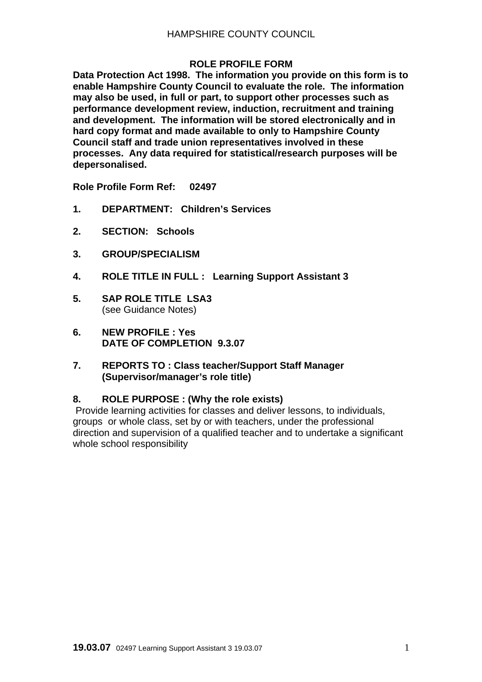### **ROLE PROFILE FORM**

**Data Protection Act 1998. The information you provide on this form is to enable Hampshire County Council to evaluate the role. The information may also be used, in full or part, to support other processes such as performance development review, induction, recruitment and training and development. The information will be stored electronically and in hard copy format and made available to only to Hampshire County Council staff and trade union representatives involved in these processes. Any data required for statistical/research purposes will be depersonalised.** 

**Role Profile Form Ref: 02497** 

- **1. DEPARTMENT: Children's Services**
- **2. SECTION: Schools**
- **3. GROUP/SPECIALISM**
- **4. ROLE TITLE IN FULL : Learning Support Assistant 3**
- **5. SAP ROLE TITLE LSA3**  (see Guidance Notes)
- **6. NEW PROFILE : Yes DATE OF COMPLETION 9.3.07**
- **7. REPORTS TO : Class teacher/Support Staff Manager (Supervisor/manager's role title)**

#### **8. ROLE PURPOSE : (Why the role exists)**

Provide learning activities for classes and deliver lessons, to individuals, groups or whole class, set by or with teachers, under the professional direction and supervision of a qualified teacher and to undertake a significant whole school responsibility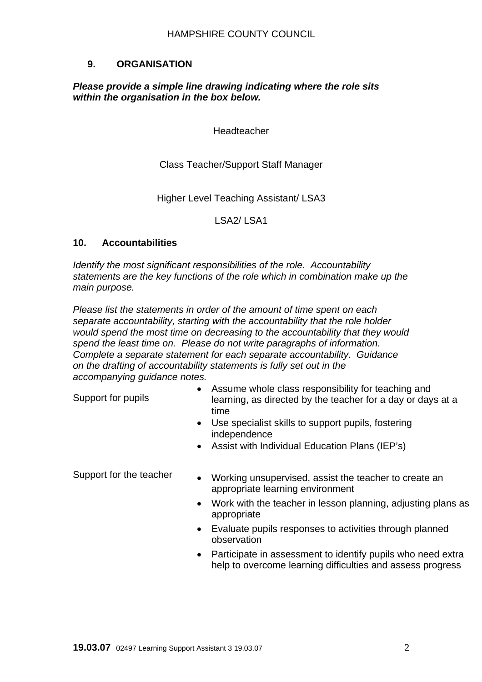## **9. ORGANISATION**

#### *Please provide a simple line drawing indicating where the role sits within the organisation in the box below.*

Headteacher

Class Teacher/Support Staff Manager

Higher Level Teaching Assistant/ LSA3

LSA2/ LSA1

#### **10. Accountabilities**

*Identify the most significant responsibilities of the role. Accountability statements are the key functions of the role which in combination make up the main purpose.* 

*Please list the statements in order of the amount of time spent on each separate accountability, starting with the accountability that the role holder would spend the most time on decreasing to the accountability that they would spend the least time on. Please do not write paragraphs of information. Complete a separate statement for each separate accountability. Guidance on the drafting of accountability statements is fully set out in the accompanying guidance notes.* 

Support for pupils

- Assume whole class responsibility for teaching and learning, as directed by the teacher for a day or days at a time
- Use specialist skills to support pupils, fostering independence
- Assist with Individual Education Plans (IEP's)

- Support for the teacher Working unsupervised, assist the teacher to create an appropriate learning environment
	- Work with the teacher in lesson planning, adjusting plans as appropriate
	- Evaluate pupils responses to activities through planned observation
	- Participate in assessment to identify pupils who need extra help to overcome learning difficulties and assess progress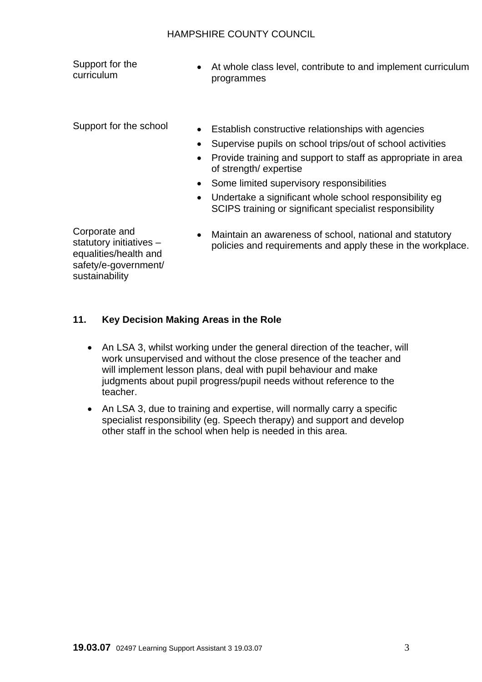#### HAMPSHIRE COUNTY COUNCIL

Support for the curriculum

• At whole class level, contribute to and implement curriculum programmes

- Support for the school Establish constructive relationships with agencies
	- Supervise pupils on school trips/out of school activities
	- Provide training and support to staff as appropriate in area of strength/ expertise
	- Some limited supervisory responsibilities
	- Undertake a significant whole school responsibility eg SCIPS training or significant specialist responsibility

Corporate and statutory initiatives – equalities/health and safety/e-government/ sustainability

• Maintain an awareness of school, national and statutory policies and requirements and apply these in the workplace.

## **11. Key Decision Making Areas in the Role**

- An LSA 3, whilst working under the general direction of the teacher, will work unsupervised and without the close presence of the teacher and will implement lesson plans, deal with pupil behaviour and make judgments about pupil progress/pupil needs without reference to the teacher.
- An LSA 3, due to training and expertise, will normally carry a specific specialist responsibility (eg. Speech therapy) and support and develop other staff in the school when help is needed in this area.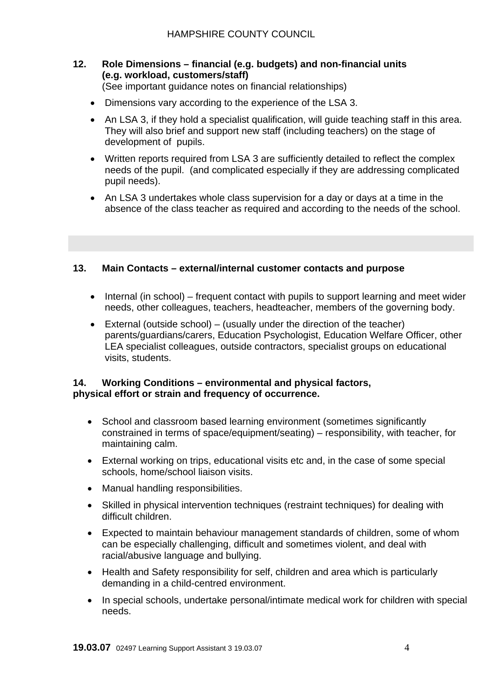# **12. Role Dimensions – financial (e.g. budgets) and non-financial units (e.g. workload, customers/staff)**

(See important guidance notes on financial relationships)

- Dimensions vary according to the experience of the LSA 3.
- An LSA 3, if they hold a specialist qualification, will quide teaching staff in this area. They will also brief and support new staff (including teachers) on the stage of development of pupils.
- Written reports required from LSA 3 are sufficiently detailed to reflect the complex needs of the pupil. (and complicated especially if they are addressing complicated pupil needs).
- An LSA 3 undertakes whole class supervision for a day or days at a time in the absence of the class teacher as required and according to the needs of the school.

## **13. Main Contacts – external/internal customer contacts and purpose**

- Internal (in school) frequent contact with pupils to support learning and meet wider needs, other colleagues, teachers, headteacher, members of the governing body.
- External (outside school) (usually under the direction of the teacher) parents/guardians/carers, Education Psychologist, Education Welfare Officer, other LEA specialist colleagues, outside contractors, specialist groups on educational visits, students.

#### **14. Working Conditions – environmental and physical factors, physical effort or strain and frequency of occurrence.**

- School and classroom based learning environment (sometimes significantly constrained in terms of space/equipment/seating) – responsibility, with teacher, for maintaining calm.
- External working on trips, educational visits etc and, in the case of some special schools, home/school liaison visits.
- Manual handling responsibilities.
- Skilled in physical intervention techniques (restraint techniques) for dealing with difficult children.
- Expected to maintain behaviour management standards of children, some of whom can be especially challenging, difficult and sometimes violent, and deal with racial/abusive language and bullying.
- Health and Safety responsibility for self, children and area which is particularly demanding in a child-centred environment.
- In special schools, undertake personal/intimate medical work for children with special needs.